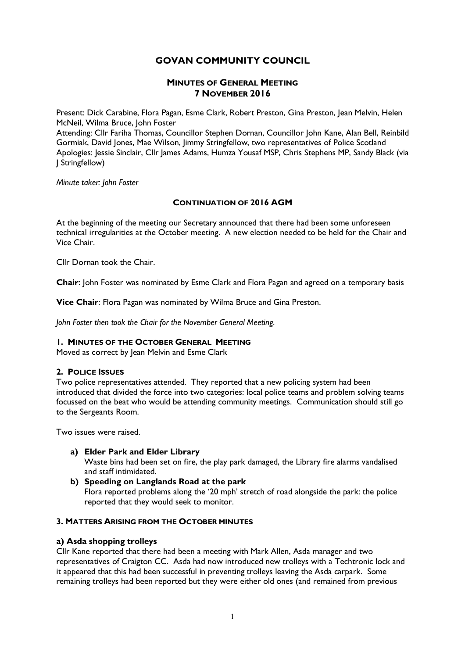# **GOVAN COMMUNITY COUNCIL**

# **MINUTES OF GENERAL MEETING 7 NOVEMBER 2016**

Present: Dick Carabine, Flora Pagan, Esme Clark, Robert Preston, Gina Preston, Jean Melvin, Helen McNeil, Wilma Bruce, John Foster

Attending: Cllr Fariha Thomas, Councillor Stephen Dornan, Councillor John Kane, Alan Bell, Reinbild Gormiak, David Jones, Mae Wilson, Jimmy Stringfellow, two representatives of Police Scotland Apologies: Jessie Sinclair, Cllr James Adams, Humza Yousaf MSP, Chris Stephens MP, Sandy Black (via J Stringfellow)

*Minute taker: John Foster*

# **CONTINUATION OF 2016 AGM**

At the beginning of the meeting our Secretary announced that there had been some unforeseen technical irregularities at the October meeting. A new election needed to be held for the Chair and Vice Chair.

Cllr Dornan took the Chair.

**Chair**: John Foster was nominated by Esme Clark and Flora Pagan and agreed on a temporary basis

**Vice Chair**: Flora Pagan was nominated by Wilma Bruce and Gina Preston.

*John Foster then took the Chair for the November General Meeting.*

### **1. MINUTES OF THE OCTOBER GENERAL MEETING**

Moved as correct by Jean Melvin and Esme Clark

# **2. POLICE ISSUES**

Two police representatives attended. They reported that a new policing system had been introduced that divided the force into two categories: local police teams and problem solving teams focussed on the beat who would be attending community meetings. Communication should still go to the Sergeants Room.

Two issues were raised.

- **a) Elder Park and Elder Library** Waste bins had been set on fire, the play park damaged, the Library fire alarms vandalised and staff intimidated.
- **b) Speeding on Langlands Road at the park** Flora reported problems along the '20 mph' stretch of road alongside the park: the police reported that they would seek to monitor.

## **3. MATTERS ARISING FROM THE OCTOBER MINUTES**

### **a) Asda shopping trolleys**

Cllr Kane reported that there had been a meeting with Mark Allen, Asda manager and two representatives of Craigton CC. Asda had now introduced new trolleys with a Techtronic lock and it appeared that this had been successful in preventing trolleys leaving the Asda carpark. Some remaining trolleys had been reported but they were either old ones (and remained from previous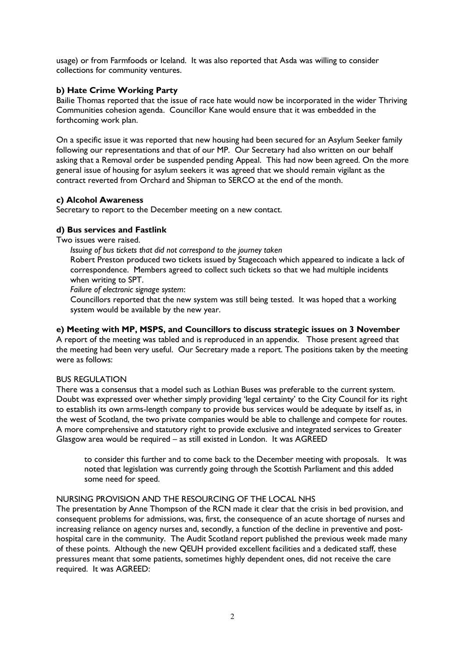usage) or from Farmfoods or Iceland. It was also reported that Asda was willing to consider collections for community ventures.

# **b) Hate Crime Working Party**

Bailie Thomas reported that the issue of race hate would now be incorporated in the wider Thriving Communities cohesion agenda. Councillor Kane would ensure that it was embedded in the forthcoming work plan.

On a specific issue it was reported that new housing had been secured for an Asylum Seeker family following our representations and that of our MP. Our Secretary had also written on our behalf asking that a Removal order be suspended pending Appeal. This had now been agreed. On the more general issue of housing for asylum seekers it was agreed that we should remain vigilant as the contract reverted from Orchard and Shipman to SERCO at the end of the month.

### **c) Alcohol Awareness**

Secretary to report to the December meeting on a new contact.

# **d) Bus services and Fastlink**

Two issues were raised.

*Issuing of bus tickets that did not correspond to the journey taken*

Robert Preston produced two tickets issued by Stagecoach which appeared to indicate a lack of correspondence. Members agreed to collect such tickets so that we had multiple incidents when writing to SPT.

*Failure of electronic signage system*:

Councillors reported that the new system was still being tested. It was hoped that a working system would be available by the new year.

## **e) Meeting with MP, MSPS, and Councillors to discuss strategic issues on 3 November**

A report of the meeting was tabled and is reproduced in an appendix. Those present agreed that the meeting had been very useful. Our Secretary made a report. The positions taken by the meeting were as follows:

### BUS REGULATION

There was a consensus that a model such as Lothian Buses was preferable to the current system. Doubt was expressed over whether simply providing 'legal certainty' to the City Council for its right to establish its own arms-length company to provide bus services would be adequate by itself as, in the west of Scotland, the two private companies would be able to challenge and compete for routes. A more comprehensive and statutory right to provide exclusive and integrated services to Greater Glasgow area would be required – as still existed in London. It was AGREED

to consider this further and to come back to the December meeting with proposals. It was noted that legislation was currently going through the Scottish Parliament and this added some need for speed.

### NURSING PROVISION AND THE RESOURCING OF THE LOCAL NHS

The presentation by Anne Thompson of the RCN made it clear that the crisis in bed provision, and consequent problems for admissions, was, first, the consequence of an acute shortage of nurses and increasing reliance on agency nurses and, secondly, a function of the decline in preventive and posthospital care in the community. The Audit Scotland report published the previous week made many of these points. Although the new QEUH provided excellent facilities and a dedicated staff, these pressures meant that some patients, sometimes highly dependent ones, did not receive the care required. It was AGREED: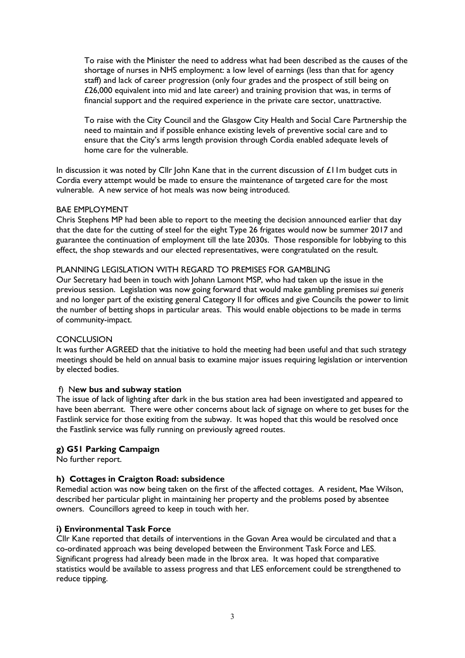To raise with the Minister the need to address what had been described as the causes of the shortage of nurses in NHS employment: a low level of earnings (less than that for agency staff) and lack of career progression (only four grades and the prospect of still being on £26,000 equivalent into mid and late career) and training provision that was, in terms of financial support and the required experience in the private care sector, unattractive.

To raise with the City Council and the Glasgow City Health and Social Care Partnership the need to maintain and if possible enhance existing levels of preventive social care and to ensure that the City's arms length provision through Cordia enabled adequate levels of home care for the vulnerable.

In discussion it was noted by Cllr John Kane that in the current discussion of £11m budget cuts in Cordia every attempt would be made to ensure the maintenance of targeted care for the most vulnerable. A new service of hot meals was now being introduced.

## BAE EMPLOYMENT

Chris Stephens MP had been able to report to the meeting the decision announced earlier that day that the date for the cutting of steel for the eight Type 26 frigates would now be summer 2017 and guarantee the continuation of employment till the late 2030s. Those responsible for lobbying to this effect, the shop stewards and our elected representatives, were congratulated on the result.

## PLANNING LEGISLATION WITH REGARD TO PREMISES FOR GAMBLING

Our Secretary had been in touch with Johann Lamont MSP, who had taken up the issue in the previous session. Legislation was now going forward that would make gambling premises *sui generis* and no longer part of the existing general Category II for offices and give Councils the power to limit the number of betting shops in particular areas. This would enable objections to be made in terms of community-impact.

### **CONCLUSION**

It was further AGREED that the initiative to hold the meeting had been useful and that such strategy meetings should be held on annual basis to examine major issues requiring legislation or intervention by elected bodies.

### f) N**ew bus and subway station**

The issue of lack of lighting after dark in the bus station area had been investigated and appeared to have been aberrant. There were other concerns about lack of signage on where to get buses for the Fastlink service for those exiting from the subway. It was hoped that this would be resolved once the Fastlink service was fully running on previously agreed routes.

# **g) G51 Parking Campaign**

No further report.

# **h) Cottages in Craigton Road: subsidence**

Remedial action was now being taken on the first of the affected cottages. A resident, Mae Wilson, described her particular plight in maintaining her property and the problems posed by absentee owners. Councillors agreed to keep in touch with her.

### **i) Environmental Task Force**

Cllr Kane reported that details of interventions in the Govan Area would be circulated and that a co-ordinated approach was being developed between the Environment Task Force and LES. Significant progress had already been made in the Ibrox area. It was hoped that comparative statistics would be available to assess progress and that LES enforcement could be strengthened to reduce tipping.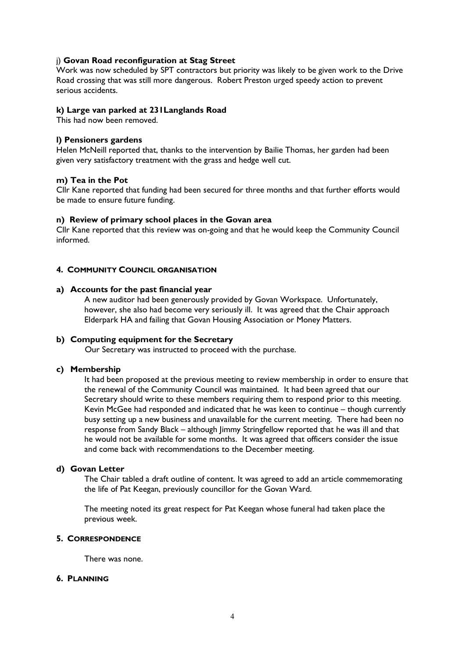## j) **Govan Road reconfiguration at Stag Street**

Work was now scheduled by SPT contractors but priority was likely to be given work to the Drive Road crossing that was still more dangerous. Robert Preston urged speedy action to prevent serious accidents.

### **k) Large van parked at 231Langlands Road**

This had now been removed.

### **l) Pensioners gardens**

Helen McNeill reported that, thanks to the intervention by Bailie Thomas, her garden had been given very satisfactory treatment with the grass and hedge well cut.

### **m) Tea in the Pot**

Cllr Kane reported that funding had been secured for three months and that further efforts would be made to ensure future funding.

### **n) Review of primary school places in the Govan area**

Cllr Kane reported that this review was on-going and that he would keep the Community Council informed.

## **4. COMMUNITY COUNCIL ORGANISATION**

### **a) Accounts for the past financial year**

A new auditor had been generously provided by Govan Workspace. Unfortunately, however, she also had become very seriously ill. It was agreed that the Chair approach Elderpark HA and failing that Govan Housing Association or Money Matters.

### **b) Computing equipment for the Secretary**

Our Secretary was instructed to proceed with the purchase.

### **c) Membership**

It had been proposed at the previous meeting to review membership in order to ensure that the renewal of the Community Council was maintained. It had been agreed that our Secretary should write to these members requiring them to respond prior to this meeting. Kevin McGee had responded and indicated that he was keen to continue – though currently busy setting up a new business and unavailable for the current meeting. There had been no response from Sandy Black – although Jimmy Stringfellow reported that he was ill and that he would not be available for some months. It was agreed that officers consider the issue and come back with recommendations to the December meeting.

### **d) Govan Letter**

The Chair tabled a draft outline of content. It was agreed to add an article commemorating the life of Pat Keegan, previously councillor for the Govan Ward.

The meeting noted its great respect for Pat Keegan whose funeral had taken place the previous week.

### **5. CORRESPONDENCE**

There was none.

### **6. PLANNING**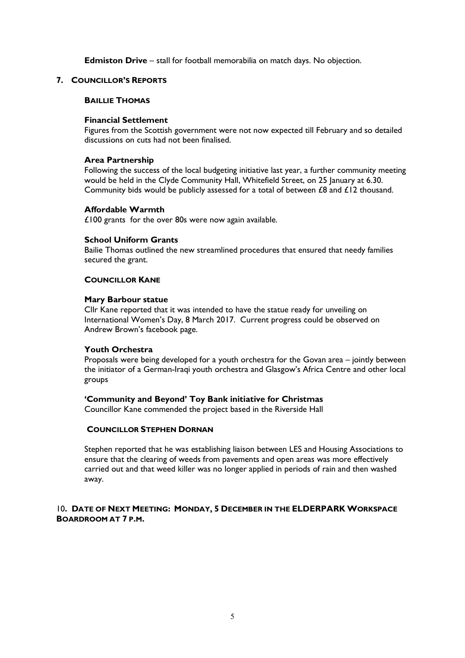**Edmiston Drive** – stall for football memorabilia on match days. No objection.

#### **7. COUNCILLOR'S REPORTS**

#### **BAILLIE THOMAS**

#### **Financial Settlement**

Figures from the Scottish government were not now expected till February and so detailed discussions on cuts had not been finalised.

#### **Area Partnership**

Following the success of the local budgeting initiative last year, a further community meeting would be held in the Clyde Community Hall, Whitefield Street, on 25 January at 6.30. Community bids would be publicly assessed for a total of between £8 and £12 thousand.

#### **Affordable Warmth**

£100 grants for the over 80s were now again available.

#### **School Uniform Grants**

Bailie Thomas outlined the new streamlined procedures that ensured that needy families secured the grant.

### **COUNCILLOR KANE**

#### **Mary Barbour statue**

Cllr Kane reported that it was intended to have the statue ready for unveiling on International Women's Day, 8 March 2017. Current progress could be observed on Andrew Brown's facebook page.

### **Youth Orchestra**

Proposals were being developed for a youth orchestra for the Govan area – jointly between the initiator of a German-Iraqi youth orchestra and Glasgow's Africa Centre and other local groups

### **'Community and Beyond' Toy Bank initiative for Christmas**

Councillor Kane commended the project based in the Riverside Hall

#### **COUNCILLOR STEPHEN DORNAN**

Stephen reported that he was establishing liaison between LES and Housing Associations to ensure that the clearing of weeds from pavements and open areas was more effectively carried out and that weed killer was no longer applied in periods of rain and then washed away.

## 10**. DATE OF NEXT MEETING: MONDAY, 5 DECEMBER IN THE ELDERPARK WORKSPACE BOARDROOM AT 7 P.M.**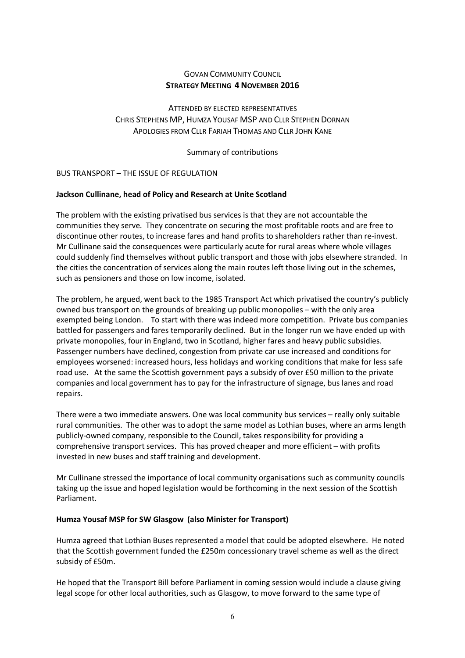# GOVAN COMMUNITY COUNCIL **STRATEGY MEETING 4 NOVEMBER 2016**

ATTENDED BY ELECTED REPRESENTATIVES CHRIS STEPHENS MP, HUMZA YOUSAF MSP AND CLLR STEPHEN DORNAN APOLOGIES FROM CLLR FARIAH THOMAS AND CLLR JOHN KANE

Summary of contributions

BUS TRANSPORT – THE ISSUE OF REGULATION

## **Jackson Cullinane, head of Policy and Research at Unite Scotland**

The problem with the existing privatised bus services is that they are not accountable the communities they serve. They concentrate on securing the most profitable roots and are free to discontinue other routes, to increase fares and hand profits to shareholders rather than re-invest. Mr Cullinane said the consequences were particularly acute for rural areas where whole villages could suddenly find themselves without public transport and those with jobs elsewhere stranded. In the cities the concentration of services along the main routes left those living out in the schemes, such as pensioners and those on low income, isolated.

The problem, he argued, went back to the 1985 Transport Act which privatised the country's publicly owned bus transport on the grounds of breaking up public monopolies – with the only area exempted being London. To start with there was indeed more competition. Private bus companies battled for passengers and fares temporarily declined. But in the longer run we have ended up with private monopolies, four in England, two in Scotland, higher fares and heavy public subsidies. Passenger numbers have declined, congestion from private car use increased and conditions for employees worsened: increased hours, less holidays and working conditions that make for less safe road use. At the same the Scottish government pays a subsidy of over £50 million to the private companies and local government has to pay for the infrastructure of signage, bus lanes and road repairs.

There were a two immediate answers. One was local community bus services – really only suitable rural communities. The other was to adopt the same model as Lothian buses, where an arms length publicly-owned company, responsible to the Council, takes responsibility for providing a comprehensive transport services. This has proved cheaper and more efficient – with profits invested in new buses and staff training and development.

Mr Cullinane stressed the importance of local community organisations such as community councils taking up the issue and hoped legislation would be forthcoming in the next session of the Scottish Parliament.

### **Humza Yousaf MSP for SW Glasgow (also Minister for Transport)**

Humza agreed that Lothian Buses represented a model that could be adopted elsewhere. He noted that the Scottish government funded the £250m concessionary travel scheme as well as the direct subsidy of £50m.

He hoped that the Transport Bill before Parliament in coming session would include a clause giving legal scope for other local authorities, such as Glasgow, to move forward to the same type of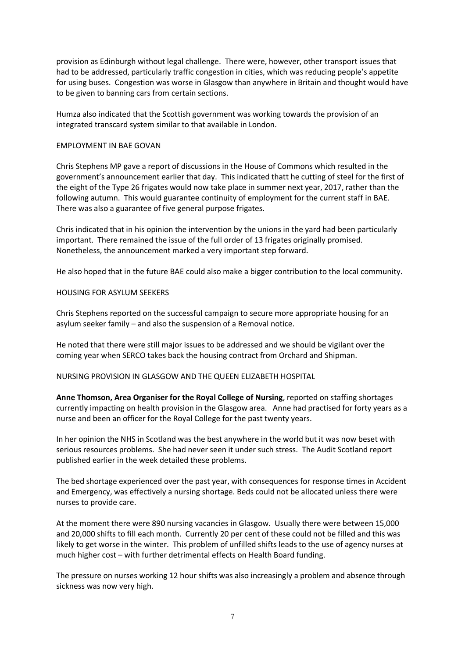provision as Edinburgh without legal challenge. There were, however, other transport issues that had to be addressed, particularly traffic congestion in cities, which was reducing people's appetite for using buses. Congestion was worse in Glasgow than anywhere in Britain and thought would have to be given to banning cars from certain sections.

Humza also indicated that the Scottish government was working towards the provision of an integrated transcard system similar to that available in London.

#### EMPLOYMENT IN BAE GOVAN

Chris Stephens MP gave a report of discussions in the House of Commons which resulted in the government's announcement earlier that day. This indicated thatt he cutting of steel for the first of the eight of the Type 26 frigates would now take place in summer next year, 2017, rather than the following autumn. This would guarantee continuity of employment for the current staff in BAE. There was also a guarantee of five general purpose frigates.

Chris indicated that in his opinion the intervention by the unions in the yard had been particularly important. There remained the issue of the full order of 13 frigates originally promised. Nonetheless, the announcement marked a very important step forward.

He also hoped that in the future BAE could also make a bigger contribution to the local community.

#### HOUSING FOR ASYLUM SEEKERS

Chris Stephens reported on the successful campaign to secure more appropriate housing for an asylum seeker family – and also the suspension of a Removal notice.

He noted that there were still major issues to be addressed and we should be vigilant over the coming year when SERCO takes back the housing contract from Orchard and Shipman.

#### NURSING PROVISION IN GLASGOW AND THE QUEEN ELIZABETH HOSPITAL

**Anne Thomson, Area Organiser for the Royal College of Nursing**, reported on staffing shortages currently impacting on health provision in the Glasgow area. Anne had practised for forty years as a nurse and been an officer for the Royal College for the past twenty years.

In her opinion the NHS in Scotland was the best anywhere in the world but it was now beset with serious resources problems. She had never seen it under such stress. The Audit Scotland report published earlier in the week detailed these problems.

The bed shortage experienced over the past year, with consequences for response times in Accident and Emergency, was effectively a nursing shortage. Beds could not be allocated unless there were nurses to provide care.

At the moment there were 890 nursing vacancies in Glasgow. Usually there were between 15,000 and 20,000 shifts to fill each month. Currently 20 per cent of these could not be filled and this was likely to get worse in the winter. This problem of unfilled shifts leads to the use of agency nurses at much higher cost – with further detrimental effects on Health Board funding.

The pressure on nurses working 12 hour shifts was also increasingly a problem and absence through sickness was now very high.